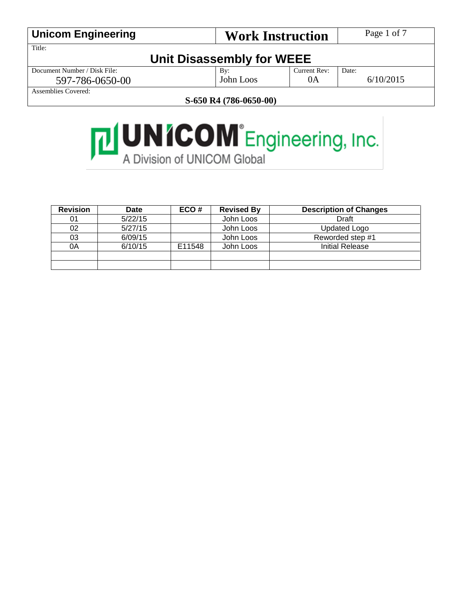| <b>Unicom Engineering</b>    | <b>Work Instruction</b>   |              | Page 1 of 7 |
|------------------------------|---------------------------|--------------|-------------|
| Title:                       |                           |              |             |
|                              | Unit Disassembly for WEEE |              |             |
| Document Number / Disk File: | $\mathbf{B} \mathbf{v}$ : | Current Rev: | Date:       |
| 597-786-0650-00              | John Loos                 | 0A           | 6/10/2015   |
| Assemblies Covered:          |                           |              |             |

**S-650 R4 (786-0650-00)**

# **THUNICOM** Engineering, Inc.

| <b>Revision</b> | <b>Date</b> | ECO#   | <b>Revised By</b> | <b>Description of Changes</b> |
|-----------------|-------------|--------|-------------------|-------------------------------|
| 01              | 5/22/15     |        | John Loos         | Draft                         |
| 02              | 5/27/15     |        | John Loos         | <b>Updated Logo</b>           |
| 03              | 6/09/15     |        | John Loos         | Reworded step #1              |
| 0A              | 6/10/15     | E11548 | John Loos         | <b>Initial Release</b>        |
|                 |             |        |                   |                               |
|                 |             |        |                   |                               |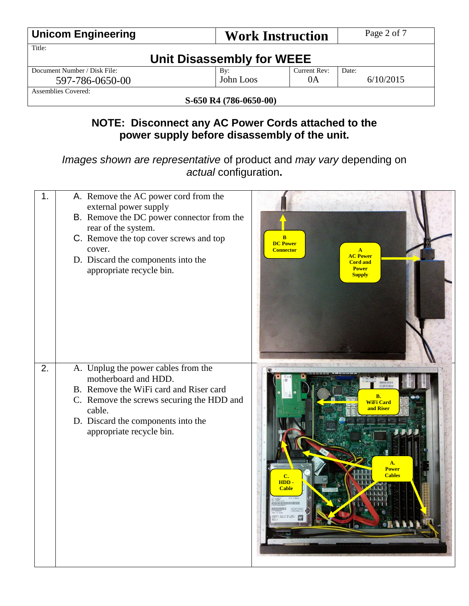| <b>Unicom Engineering</b>    | <b>Work Instruction</b>   |              | Page 2 of 7 |
|------------------------------|---------------------------|--------------|-------------|
| Title:                       |                           |              |             |
|                              | Unit Disassembly for WEEE |              |             |
| Document Number / Disk File: | By:                       | Current Rev: | Date:       |
| 597-786-0650-00              | John Loos                 | 0A           | 6/10/2015   |
| Assemblies Covered:          |                           |              |             |
| S-650 R4 (786-0650-00)       |                           |              |             |

### **NOTE: Disconnect any AC Power Cords attached to the power supply before disassembly of the unit.**

*Images shown are representative* of product and *may vary* depending on *actual* configuration**.**

| 1. | A. Remove the AC power cord from the<br>external power supply<br>B. Remove the DC power connector from the<br>rear of the system.<br>C. Remove the top cover screws and top<br>cover.<br>D. Discard the components into the<br>appropriate recycle bin. | $\bf{B}$<br><b>DC Power</b><br><b>Connector</b><br>$\mathbf{A}$<br><b>AC Power</b><br><b>Cord and</b><br><b>Power</b><br><b>Supply</b> |
|----|---------------------------------------------------------------------------------------------------------------------------------------------------------------------------------------------------------------------------------------------------------|----------------------------------------------------------------------------------------------------------------------------------------|
| 2. | A. Unplug the power cables from the<br>motherboard and HDD.<br>B. Remove the WiFi card and Riser card<br>C. Remove the screws securing the HDD and<br>cable.<br>D. Discard the components into the<br>appropriate recycle bin.                          | <b>TERROR</b><br>B.<br><b>WiFi Card</b><br>and Riser<br>A.<br><b>Power</b><br><b>Cables</b><br>HDD-<br><b>Cable</b>                    |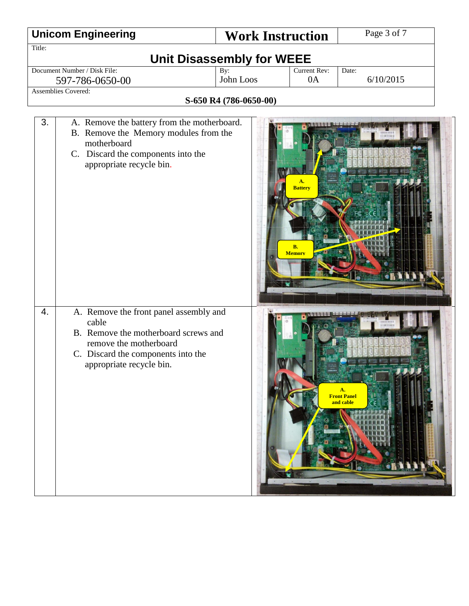|        | <b>Unicom Engineering</b>                                                                                                                                                           | <b>Work Instruction</b> |                            | Page 3 of 7                           |  |  |  |
|--------|-------------------------------------------------------------------------------------------------------------------------------------------------------------------------------------|-------------------------|----------------------------|---------------------------------------|--|--|--|
| Title: |                                                                                                                                                                                     |                         |                            |                                       |  |  |  |
|        | <b>Unit Disassembly for WEEE</b>                                                                                                                                                    |                         |                            |                                       |  |  |  |
|        | Document Number / Disk File:                                                                                                                                                        | By:<br>John Loos        | Current Rev:               | Date:<br>6/10/2015                    |  |  |  |
|        | 0A<br>597-786-0650-00<br><b>Assemblies Covered:</b>                                                                                                                                 |                         |                            |                                       |  |  |  |
|        |                                                                                                                                                                                     | S-650 R4 (786-0650-00)  |                            |                                       |  |  |  |
|        |                                                                                                                                                                                     |                         |                            |                                       |  |  |  |
| 3.     | A. Remove the battery from the motherboard.<br>B. Remove the Memory modules from the<br>motherboard<br>C. Discard the components into the<br>appropriate recycle bin.               |                         | A.<br><b>Battery</b>       |                                       |  |  |  |
|        |                                                                                                                                                                                     |                         | <b>B.</b><br><b>Memory</b> |                                       |  |  |  |
| 4.     | A. Remove the front panel assembly and<br>cable<br>B. Remove the motherboard screws and<br>remove the motherboard<br>C. Discard the components into the<br>appropriate recycle bin. |                         |                            | A.<br><b>Front Panel</b><br>and cable |  |  |  |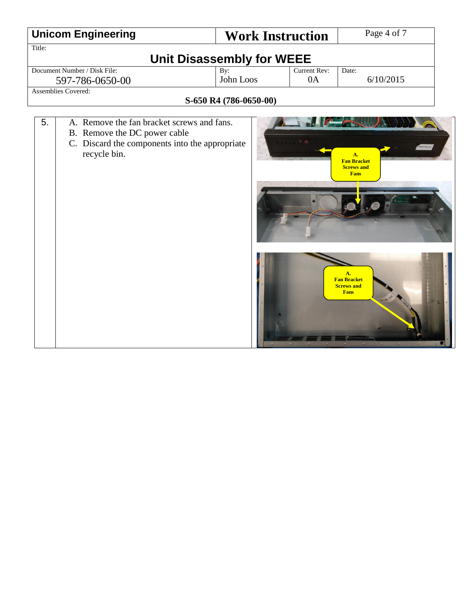|                     | <b>Unicom Engineering</b>                                                                                                                    | <b>Work Instruction</b>          |                    | Page 4 of 7                                                                                                                                     |
|---------------------|----------------------------------------------------------------------------------------------------------------------------------------------|----------------------------------|--------------------|-------------------------------------------------------------------------------------------------------------------------------------------------|
| Title:              |                                                                                                                                              |                                  |                    |                                                                                                                                                 |
|                     |                                                                                                                                              | <b>Unit Disassembly for WEEE</b> |                    |                                                                                                                                                 |
|                     | Document Number / Disk File:                                                                                                                 | By:<br>John Loos                 | Current Rev:<br>0A | Date:<br>6/10/2015                                                                                                                              |
| Assemblies Covered: | 597-786-0650-00                                                                                                                              |                                  |                    |                                                                                                                                                 |
|                     |                                                                                                                                              | S-650 R4 (786-0650-00)           |                    |                                                                                                                                                 |
| 5.                  | A. Remove the fan bracket screws and fans.<br>B. Remove the DC power cable<br>C. Discard the components into the appropriate<br>recycle bin. |                                  |                    | <b>PROTO #1</b><br>A.<br><b>Fan Bracket</b><br><b>Screws and</b><br><b>Fans</b><br>A.<br><b>Fan Bracket</b><br><b>Screws and</b><br><b>Fans</b> |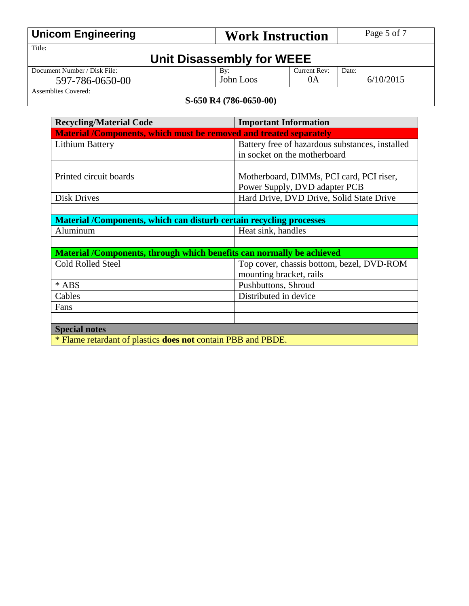| <b>Unicom Engineering</b>    | <b>Work Instruction</b>   |              | Page 5 of 7 |
|------------------------------|---------------------------|--------------|-------------|
| Title:                       |                           |              |             |
|                              | Unit Disassembly for WEEE |              |             |
| Document Number / Disk File: | By:                       | Current Rev: | Date:       |
| 597-786-0650-00              | John Loos                 | 0A           | 6/10/2015   |
| Assemblies Covered:          |                           |              |             |

#### **S-650 R4 (786-0650-00)**

| <b>Recycling/Material Code</b>                                      | <b>Important Information</b>                                          |  |  |  |
|---------------------------------------------------------------------|-----------------------------------------------------------------------|--|--|--|
| Material /Components, which must be removed and treated separately  |                                                                       |  |  |  |
| <b>Lithium Battery</b>                                              | Battery free of hazardous substances, installed                       |  |  |  |
|                                                                     | in socket on the motherboard                                          |  |  |  |
|                                                                     |                                                                       |  |  |  |
| Printed circuit boards                                              | Motherboard, DIMMs, PCI card, PCI riser,                              |  |  |  |
|                                                                     | Power Supply, DVD adapter PCB                                         |  |  |  |
| <b>Disk Drives</b>                                                  | Hard Drive, DVD Drive, Solid State Drive                              |  |  |  |
|                                                                     |                                                                       |  |  |  |
| Material /Components, which can disturb certain recycling processes |                                                                       |  |  |  |
| Aluminum                                                            | Heat sink, handles                                                    |  |  |  |
|                                                                     |                                                                       |  |  |  |
|                                                                     | Material /Components, through which benefits can normally be achieved |  |  |  |
| <b>Cold Rolled Steel</b>                                            | Top cover, chassis bottom, bezel, DVD-ROM                             |  |  |  |
|                                                                     | mounting bracket, rails                                               |  |  |  |
| * ABS                                                               | Pushbuttons, Shroud                                                   |  |  |  |
| Cables                                                              | Distributed in device                                                 |  |  |  |
| Fans                                                                |                                                                       |  |  |  |
|                                                                     |                                                                       |  |  |  |
| <b>Special notes</b>                                                |                                                                       |  |  |  |
| * Flame retardant of plastics <b>does not</b> contain PBB and PBDE. |                                                                       |  |  |  |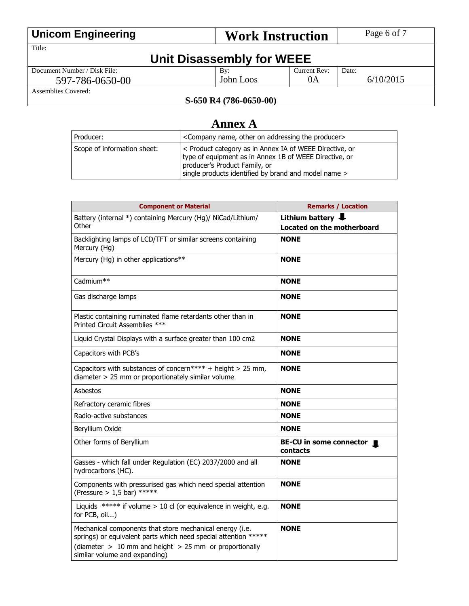| <b>Unicom Engineering</b>    |                           | <b>Work Instruction</b> | Page 6 of 7 |
|------------------------------|---------------------------|-------------------------|-------------|
| Title:                       |                           |                         |             |
|                              | Unit Disassembly for WEEE |                         |             |
| Document Number / Disk File: | By:                       | Current Rev:            | Date:       |
| 597-786-0650-00              | John Loos                 | 0A                      | 6/10/2015   |
| Assemblies Covered:          |                           |                         |             |

#### **S-650 R4 (786-0650-00)**

## **Annex A**

| Producer:                   | <company addressing="" name,="" on="" other="" producer="" the=""></company>                                                                                                                               |
|-----------------------------|------------------------------------------------------------------------------------------------------------------------------------------------------------------------------------------------------------|
| Scope of information sheet: | < Product category as in Annex IA of WEEE Directive, or<br>type of equipment as in Annex 1B of WEEE Directive, or<br>producer's Product Family, or<br>single products identified by brand and model name > |

| <b>Component or Material</b>                                                                                                                                                                                               | <b>Remarks / Location</b>                            |
|----------------------------------------------------------------------------------------------------------------------------------------------------------------------------------------------------------------------------|------------------------------------------------------|
| Battery (internal *) containing Mercury (Hg)/ NiCad/Lithium/<br>Other                                                                                                                                                      | Lithium battery<br><b>Located on the motherboard</b> |
| Backlighting lamps of LCD/TFT or similar screens containing<br>Mercury (Hg)                                                                                                                                                | <b>NONE</b>                                          |
| Mercury (Hg) in other applications**                                                                                                                                                                                       | <b>NONE</b>                                          |
| Cadmium**                                                                                                                                                                                                                  | <b>NONE</b>                                          |
| Gas discharge lamps                                                                                                                                                                                                        | <b>NONE</b>                                          |
| Plastic containing ruminated flame retardants other than in<br>Printed Circuit Assemblies ***                                                                                                                              | <b>NONE</b>                                          |
| Liquid Crystal Displays with a surface greater than 100 cm2                                                                                                                                                                | <b>NONE</b>                                          |
| Capacitors with PCB's                                                                                                                                                                                                      | <b>NONE</b>                                          |
| Capacitors with substances of concern**** + height > 25 mm,<br>diameter > 25 mm or proportionately similar volume                                                                                                          | <b>NONE</b>                                          |
| Asbestos                                                                                                                                                                                                                   | <b>NONE</b>                                          |
| Refractory ceramic fibres                                                                                                                                                                                                  | <b>NONE</b>                                          |
| Radio-active substances                                                                                                                                                                                                    | <b>NONE</b>                                          |
| Beryllium Oxide                                                                                                                                                                                                            | <b>NONE</b>                                          |
| Other forms of Beryllium                                                                                                                                                                                                   | BE-CU in some connector<br>contacts                  |
| Gasses - which fall under Regulation (EC) 2037/2000 and all<br>hydrocarbons (HC).                                                                                                                                          | <b>NONE</b>                                          |
| Components with pressurised gas which need special attention<br>(Pressure $> 1.5$ bar) *****                                                                                                                               | <b>NONE</b>                                          |
| Liquids ***** if volume $> 10$ cl (or equivalence in weight, e.g.<br>for PCB, oil)                                                                                                                                         | <b>NONE</b>                                          |
| Mechanical components that store mechanical energy (i.e.<br>springs) or equivalent parts which need special attention *****<br>(diameter $> 10$ mm and height $> 25$ mm or proportionally<br>similar volume and expanding) | <b>NONE</b>                                          |